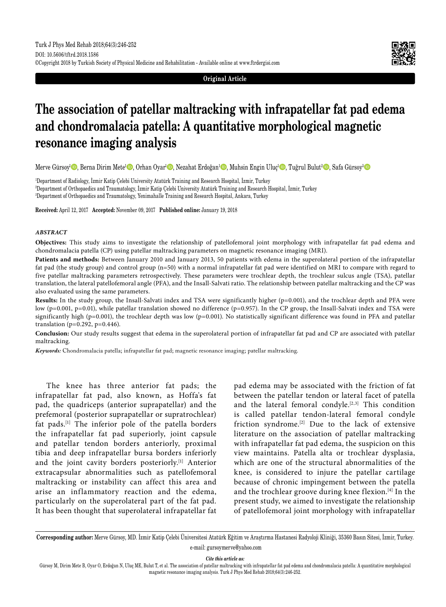

**Original Article**

# **The association of patellar maltracking with infrapatellar fat pad edema and chondromalacia patella: A quantitative morphological magnetic resonance imaging analysis**

Merve Gürsoy<sup>ı</sup>©, Berna Dirim Mete<sup>1</sup>©, Orhan Oyar<sup>ı</sup>©, Nezahat Erdoğan<sup>ı</sup>©, Muhsin Engin Uluç<sup>ı</sup>©, Tuğrul Bulut<sup>2</sup>©, Safa Gürsoy<sup>3</sup>©

1 Department of Radiology, İzmir Katip Çelebi University Atatürk Training and Research Hospital, İzmir, Turkey 2 Department of Orthopaedics and Traumatology, İzmir Katip Çelebi University Atatürk Training and Research Hospital, İzmir, Turkey 3 Department of Orthopaedics and Traumatology, Yenimahalle Training and Research Hospital, Ankara, Turkey

**Received:** April 12, 2017 **Accepted:** November 09, 2017 **Published online:** January 19, 2018

#### *ABSTRACT*

**Objectives:** This study aims to investigate the relationship of patellofemoral joint morphology with infrapatellar fat pad edema and chondromalacia patella (CP) using patellar maltracking parameters on magnetic resonance imaging (MRI).

**Patients and methods:** Between January 2010 and January 2013, 50 patients with edema in the superolateral portion of the infrapatellar fat pad (the study group) and control group (n=50) with a normal infrapatellar fat pad were identified on MRI to compare with regard to five patellar maltracking parameters retrospectively. These parameters were trochlear depth, the trochlear sulcus angle (TSA), patellar translation, the lateral patellofemoral angle (PFA), and the Insall-Salvati ratio. The relationship between patellar maltracking and the CP was also evaluated using the same parameters.

Results: In the study group, the Insall-Salvati index and TSA were significantly higher (p=0.001), and the trochlear depth and PFA were low (p=0.001, p=0.01), while patellar translation showed no difference (p=0.957). In the CP group, the Insall-Salvati index and TSA were significantly high ( $p=0.001$ ), the trochlear depth was low ( $p=0.001$ ). No statistically significant difference was found in PFA and patellar translation (p=0.292, p=0.446).

**Conclusion:** Our study results suggest that edema in the superolateral portion of infrapatellar fat pad and CP are associated with patellar maltracking.

*Keywords:* Chondromalacia patella; infrapatellar fat pad; magnetic resonance imaging; patellar maltracking.

The knee has three anterior fat pads; the infrapatellar fat pad, also known, as Hoffa's fat pad, the quadriceps (anterior suprapatellar) and the prefemoral (posterior suprapatellar or supratrochlear) fat pads.[1] The inferior pole of the patella borders the infrapatellar fat pad superiorly, joint capsule and patellar tendon borders anteriorly, proximal tibia and deep infrapatellar bursa borders inferiorly and the joint cavity borders posteriorly.[1] Anterior extracapsular abnormalities such as patellofemoral maltracking or instability can affect this area and arise an inflammatory reaction and the edema, particularly on the superolateral part of the fat pad. It has been thought that superolateral infrapatellar fat pad edema may be associated with the friction of fat between the patellar tendon or lateral facet of patella and the lateral femoral condyle.[2,3] This condition is called patellar tendon-lateral femoral condyle friction syndrome.[2] Due to the lack of extensive literature on the association of patellar maltracking with infrapatellar fat pad edema, the suspicion on this view maintains. Patella alta or trochlear dysplasia, which are one of the structural abnormalities of the knee, is considered to injure the patellar cartilage because of chronic impingement between the patella and the trochlear groove during knee flexion.<sup>[4]</sup> In the present study, we aimed to investigate the relationship of patellofemoral joint morphology with infrapatellar

**Corresponding author:** Merve Gürsoy, MD. İzmir Katip Çelebi Üniversitesi Atatürk Eğitim ve Araştırma Hastanesi Radyoloji Kliniği, 35360 Basın Sitesi, İzmir, Turkey. e-mail: gursoymerve@yahoo.com

*Cite this article as:*

Gürsoy M, Dirim Mete B, Oyar O, Erdoğan N, Uluç ME, Bulut T, et al. The association of patellar maltracking with infrapatellar fat pad edema and chondromalacia patella: A quantitative morphological magnetic resonance imaging analysis. Turk J Phys Med Rehab 2018;64(3):246-252.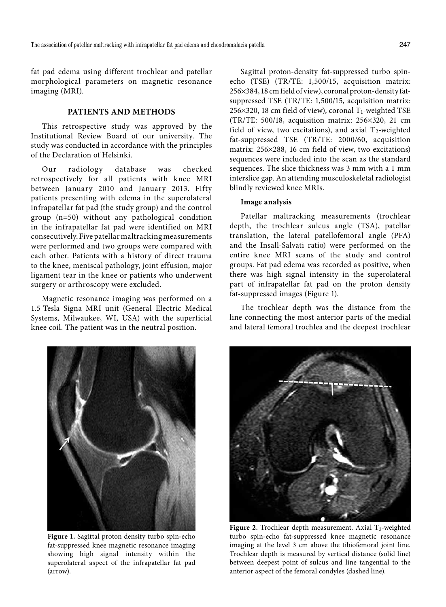fat pad edema using different trochlear and patellar morphological parameters on magnetic resonance imaging (MRI).

# **PATIENTS AND METHODS**

This retrospective study was approved by the Institutional Review Board of our university. The study was conducted in accordance with the principles of the Declaration of Helsinki.

Our radiology database was checked retrospectively for all patients with knee MRI between January 2010 and January 2013. Fifty patients presenting with edema in the superolateral infrapatellar fat pad (the study group) and the control group (n=50) without any pathological condition in the infrapatellar fat pad were identified on MRI consecutively. Five patellar maltracking measurements were performed and two groups were compared with each other. Patients with a history of direct trauma to the knee, meniscal pathology, joint effusion, major ligament tear in the knee or patients who underwent surgery or arthroscopy were excluded.

Magnetic resonance imaging was performed on a 1.5-Tesla Signa MRI unit (General Electric Medical Systems, Milwaukee, WI, USA) with the superficial knee coil. The patient was in the neutral position.

Sagittal proton-density fat-suppressed turbo spinecho (TSE) (TR/TE: 1,500/15, acquisition matrix: 256¥384, 18 cm field of view), coronal proton-density fatsuppressed TSE (TR/TE: 1,500/15, acquisition matrix: 256 $\times$ 320, 18 cm field of view), coronal T<sub>1</sub>-weighted TSE (TR/TE: 500/18, acquisition matrix: 256¥320, 21 cm field of view, two excitations), and axial  $T_2$ -weighted fat-suppressed TSE (TR/TE: 2000/60, acquisition matrix: 256×288, 16 cm field of view, two excitations) sequences were included into the scan as the standard sequences. The slice thickness was 3 mm with a 1 mm interslice gap. An attending musculoskeletal radiologist blindly reviewed knee MRIs.

## **Image analysis**

Patellar maltracking measurements (trochlear depth, the trochlear sulcus angle (TSA), patellar translation, the lateral patellofemoral angle (PFA) and the Insall-Salvati ratio) were performed on the entire knee MRI scans of the study and control groups. Fat pad edema was recorded as positive, when there was high signal intensity in the superolateral part of infrapatellar fat pad on the proton density fat-suppressed images (Figure 1).

The trochlear depth was the distance from the line connecting the most anterior parts of the medial and lateral femoral trochlea and the deepest trochlear



**Figure 1.** Sagittal proton density turbo spin-echo fat-suppressed knee magnetic resonance imaging showing high signal intensity within the superolateral aspect of the infrapatellar fat pad (arrow).



**Figure 2.** Trochlear depth measurement. Axial  $T_2$ -weighted turbo spin-echo fat-suppressed knee magnetic resonance imaging at the level 3 cm above the tibiofemoral joint line. Trochlear depth is measured by vertical distance (solid line) between deepest point of sulcus and line tangential to the anterior aspect of the femoral condyles (dashed line).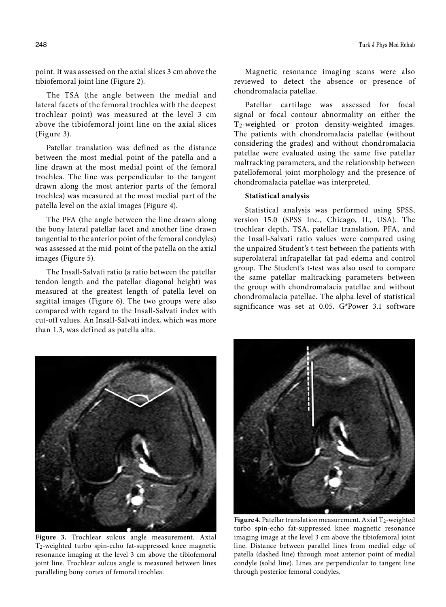point. It was assessed on the axial slices 3 cm above the tibiofemoral joint line (Figure 2).

The TSA (the angle between the medial and lateral facets of the femoral trochlea with the deepest trochlear point) was measured at the level 3 cm above the tibiofemoral joint line on the axial slices (Figure 3).

Patellar translation was defined as the distance between the most medial point of the patella and a line drawn at the most medial point of the femoral trochlea. The line was perpendicular to the tangent drawn along the most anterior parts of the femoral trochlea) was measured at the most medial part of the patella level on the axial images (Figure 4).

The PFA (the angle between the line drawn along the bony lateral patellar facet and another line drawn tangential to the anterior point of the femoral condyles) was assessed at the mid-point of the patella on the axial images (Figure 5).

The Insall-Salvati ratio (a ratio between the patellar tendon length and the patellar diagonal height) was measured at the greatest length of patella level on sagittal images (Figure 6). The two groups were also compared with regard to the Insall-Salvati index with cut-off values. An Insall-Salvati index, which was more than 1.3, was defined as patella alta.

Magnetic resonance imaging scans were also reviewed to detect the absence or presence of chondromalacia patellae.

Patellar cartilage was assessed for focal signal or focal contour abnormality on either the T2-weighted or proton density-weighted images. The patients with chondromalacia patellae (without considering the grades) and without chondromalacia patellae were evaluated using the same five patellar maltracking parameters, and the relationship between patellofemoral joint morphology and the presence of chondromalacia patellae was interpreted.

## **Statistical analysis**

Statistical analysis was performed using SPSS, version 15.0 (SPSS Inc., Chicago, IL, USA). The trochlear depth, TSA, patellar translation, PFA, and the Insall-Salvati ratio values were compared using the unpaired Student's t-test between the patients with superolateral infrapatellar fat pad edema and control group. The Student's t-test was also used to compare the same patellar maltracking parameters between the group with chondromalacia patellae and without chondromalacia patellae. The alpha level of statistical significance was set at 0.05. G\*Power 3.1 software



**Figure 3.** Trochlear sulcus angle measurement. Axial T2-weighted turbo spin-echo fat-suppressed knee magnetic resonance imaging at the level 3 cm above the tibiofemoral joint line. Trochlear sulcus angle is measured between lines paralleling bony cortex of femoral trochlea.



**Figure 4.** Patellar translation measurement. Axial  $T_2$ -weighted turbo spin-echo fat-suppressed knee magnetic resonance imaging image at the level 3 cm above the tibiofemoral joint line. Distance between parallel lines from medial edge of patella (dashed line) through most anterior point of medial condyle (solid line). Lines are perpendicular to tangent line through posterior femoral condyles.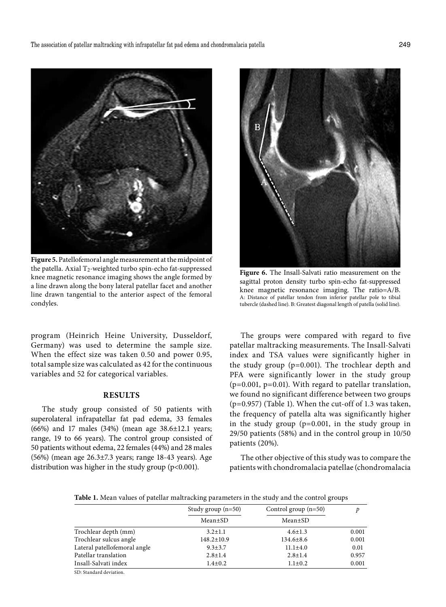

**Figure 5.** Patellofemoral angle measurement at the midpoint of the patella. Axial  $T_2$ -weighted turbo spin-echo fat-suppressed knee magnetic resonance imaging shows the angle formed by a line drawn along the bony lateral patellar facet and another line drawn tangential to the anterior aspect of the femoral condyles.

program (Heinrich Heine University, Dusseldorf, Germany) was used to determine the sample size. When the effect size was taken 0.50 and power 0.95, total sample size was calculated as 42 for the continuous variables and 52 for categorical variables.

# **RESULTS**

The study group consisted of 50 patients with superolateral infrapatellar fat pad edema, 33 females (66%) and 17 males (34%) (mean age 38.6±12.1 years; range, 19 to 66 years). The control group consisted of 50 patients without edema, 22 females (44%) and 28 males (56%) (mean age 26.3±7.3 years; range 18-43 years). Age distribution was higher in the study group (p<0.001).



**Figure 6.** The Insall-Salvati ratio measurement on the sagittal proton density turbo spin-echo fat-suppressed knee magnetic resonance imaging. The ratio=A/B. A: Distance of patellar tendon from inferior patellar pole to tibial tubercle (dashed line). B: Greatest diagonal length of patella (solid line).

The groups were compared with regard to five patellar maltracking measurements. The Insall-Salvati index and TSA values were significantly higher in the study group (p=0.001). The trochlear depth and PFA were significantly lower in the study group  $(p=0.001, p=0.01)$ . With regard to patellar translation, we found no significant difference between two groups (p=0.957) (Table 1). When the cut-off of 1.3 was taken, the frequency of patella alta was significantly higher in the study group (p=0.001, in the study group in 29/50 patients (58%) and in the control group in 10/50 patients (20%).

The other objective of this study was to compare the patients with chondromalacia patellae (chondromalacia

**Table 1.** Mean values of patellar maltracking parameters in the study and the control groups

|                              | Study group $(n=50)$<br>Mean±SD | Control group $(n=50)$<br>Mean±SD |       |
|------------------------------|---------------------------------|-----------------------------------|-------|
|                              |                                 |                                   |       |
| Trochlear depth (mm)         | $3.2 \pm 1.1$                   | $4.6 \pm 1.3$                     | 0.001 |
| Trochlear sulcus angle       | $148.2 \pm 10.9$                | $134.6 \pm 8.6$                   | 0.001 |
| Lateral patellofemoral angle | $9.3 \pm 3.7$                   | $11.1 \pm 4.0$                    | 0.01  |
| Patellar translation         | $2.8 \pm 1.4$                   | $2.8 + 1.4$                       | 0.957 |
| Insall-Salvati index         | $1.4 + 0.2$                     | $1.1 \pm 0.2$                     | 0.001 |
| SD: Standard deviation.      |                                 |                                   |       |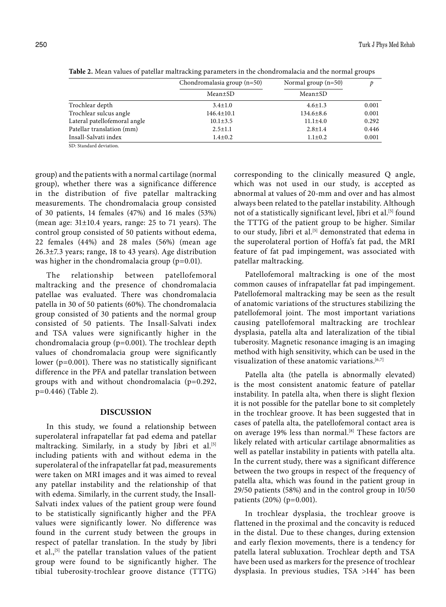|                              | Chondromalasia group $(n=50)$<br>Mean±SD | Normal group $(n=50)$<br>Mean±SD |       |
|------------------------------|------------------------------------------|----------------------------------|-------|
|                              |                                          |                                  |       |
| Trochlear depth              | $3.4 \pm 1.0$                            | $4.6 \pm 1.3$                    | 0.001 |
| Trochlear sulcus angle       | $146.4 \pm 10.1$                         | $134.6 \pm 8.6$                  | 0.001 |
| Lateral patellofemoral angle | $10.1 \pm 3.5$                           | $11.1 \pm 4.0$                   | 0.292 |
| Patellar translation (mm)    | $2.5 \pm 1.1$                            | $2.8 \pm 1.4$                    | 0.446 |
| Insall-Salvati index         | $1.4 \pm 0.2$                            | $1.1 \pm 0.2$                    | 0.001 |
|                              |                                          |                                  |       |

**Table 2.** Mean values of patellar maltracking parameters in the chondromalacia and the normal groups

group) and the patients with a normal cartilage (normal group), whether there was a significance difference in the distribution of five patellar maltracking measurements. The chondromalacia group consisted of 30 patients, 14 females (47%) and 16 males (53%) (mean age:  $31\pm10.4$  years, range: 25 to 71 years). The control group consisted of 50 patients without edema,

SD: Standard deviation.

22 females (44%) and 28 males (56%) (mean age 26.3±7.3 years; range, 18 to 43 years). Age distribution was higher in the chondromalacia group (p=0.01).

The relationship between patellofemoral maltracking and the presence of chondromalacia patellae was evaluated. There was chondromalacia patella in 30 of 50 patients (60%). The chondromalacia group consisted of 30 patients and the normal group consisted of 50 patients. The Insall-Salvati index and TSA values were significantly higher in the chondromalacia group (p=0.001). The trochlear depth values of chondromalacia group were significantly lower (p=0.001). There was no statistically significant difference in the PFA and patellar translation between groups with and without chondromalacia (p=0.292, p=0.446) (Table 2).

## **DISCUSSION**

In this study, we found a relationship between superolateral infrapatellar fat pad edema and patellar maltracking. Similarly, in a study by Jibri et al.<sup>[5]</sup> including patients with and without edema in the superolateral of the infrapatellar fat pad, measurements were taken on MRI images and it was aimed to reveal any patellar instability and the relationship of that with edema. Similarly, in the current study, the Insall-Salvati index values of the patient group were found to be statistically significantly higher and the PFA values were significantly lower. No difference was found in the current study between the groups in respect of patellar translation. In the study by Jibri et al.,<sup>[5]</sup> the patellar translation values of the patient group were found to be significantly higher. The tibial tuberosity-trochlear groove distance (TTTG) corresponding to the clinically measured Q angle, which was not used in our study, is accepted as abnormal at values of 20-mm and over and has almost always been related to the patellar instability. Although not of a statistically significant level, Jibri et al.<sup>[5]</sup> found the TTTG of the patient group to be higher. Similar to our study, Jibri et al.<sup>[5]</sup> demonstrated that edema in the superolateral portion of Hoffa's fat pad, the MRI feature of fat pad impingement, was associated with patellar maltracking.

Patellofemoral maltracking is one of the most common causes of infrapatellar fat pad impingement. Patellofemoral maltracking may be seen as the result of anatomic variations of the structures stabilizing the patellofemoral joint. The most important variations causing patellofemoral maltracking are trochlear dysplasia, patella alta and lateralization of the tibial tuberosity. Magnetic resonance imaging is an imaging method with high sensitivity, which can be used in the visualization of these anatomic variations.<sup>[6,7]</sup>

Patella alta (the patella is abnormally elevated) is the most consistent anatomic feature of patellar instability. In patella alta, when there is slight flexion it is not possible for the patellar bone to sit completely in the trochlear groove. It has been suggested that in cases of patella alta, the patellofemoral contact area is on average 19% less than normal.<sup>[8]</sup> These factors are likely related with articular cartilage abnormalities as well as patellar instability in patients with patella alta. In the current study, there was a significant difference between the two groups in respect of the frequency of patella alta, which was found in the patient group in 29/50 patients (58%) and in the control group in 10/50 patients (20%) (p=0.001).

In trochlear dysplasia, the trochlear groove is flattened in the proximal and the concavity is reduced in the distal. Due to these changes, during extension and early flexion movements, there is a tendency for patella lateral subluxation. Trochlear depth and TSA have been used as markers for the presence of trochlear dysplasia. In previous studies, TSA >144˚ has been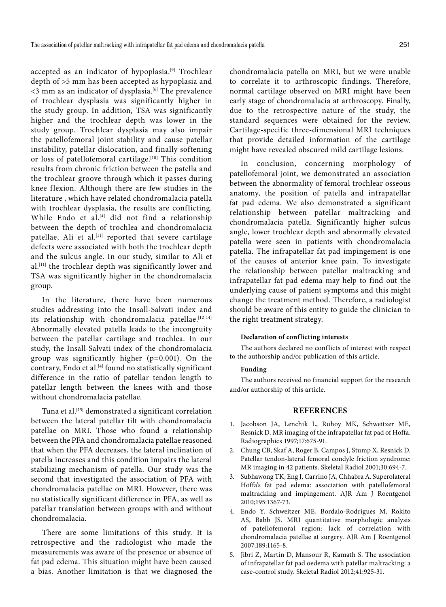accepted as an indicator of hypoplasia.<sup>[9]</sup> Trochlear depth of >5 mm has been accepted as hypoplasia and  $<$ 3 mm as an indicator of dysplasia.<sup>[6]</sup> The prevalence of trochlear dysplasia was significantly higher in the study group. In addition, TSA was significantly higher and the trochlear depth was lower in the study group. Trochlear dysplasia may also impair the patellofemoral joint stability and cause patellar instability, patellar dislocation, and finally softening or loss of patellofemoral cartilage.<sup>[10]</sup> This condition results from chronic friction between the patella and the trochlear groove through which it passes during knee flexion. Although there are few studies in the literature , which have related chondromalacia patella with trochlear dysplasia, the results are conflicting. While Endo et al.<sup>[4]</sup> did not find a relationship between the depth of trochlea and chondromalacia patellae, Ali et al.<sup>[11]</sup> reported that severe cartilage defects were associated with both the trochlear depth and the sulcus angle. In our study, similar to Ali et al.[11] the trochlear depth was significantly lower and TSA was significantly higher in the chondromalacia group.

In the literature, there have been numerous studies addressing into the Insall-Salvati index and its relationship with chondromalacia patellae.[12-14] Abnormally elevated patella leads to the incongruity between the patellar cartilage and trochlea. In our study, the Insall-Salvati index of the chondromalacia group was significantly higher (p=0.001). On the contrary, Endo et al.<sup>[4]</sup> found no statistically significant difference in the ratio of patellar tendon length to patellar length between the knees with and those without chondromalacia patellae.

Tuna et al.<sup>[15]</sup> demonstrated a significant correlation between the lateral patellar tilt with chondromalacia patellae on MRI. Those who found a relationship between the PFA and chondromalacia patellae reasoned that when the PFA decreases, the lateral inclination of patella increases and this condition impairs the lateral stabilizing mechanism of patella. Our study was the second that investigated the association of PFA with chondromalacia patellae on MRI. However, there was no statistically significant difference in PFA, as well as patellar translation between groups with and without chondromalacia.

There are some limitations of this study. It is retrospective and the radiologist who made the measurements was aware of the presence or absence of fat pad edema. This situation might have been caused a bias. Another limitation is that we diagnosed the

chondromalacia patella on MRI, but we were unable to correlate it to arthroscopic findings. Therefore, normal cartilage observed on MRI might have been early stage of chondromalacia at arthroscopy. Finally, due to the retrospective nature of the study, the standard sequences were obtained for the review. Cartilage-specific three-dimensional MRI techniques that provide detailed information of the cartilage might have revealed obscured mild cartilage lesions.

In conclusion, concerning morphology of patellofemoral joint, we demonstrated an association between the abnormality of femoral trochlear osseous anatomy, the position of patella and infrapatellar fat pad edema. We also demonstrated a significant relationship between patellar maltracking and chondromalacia patella. Significantly higher sulcus angle, lower trochlear depth and abnormally elevated patella were seen in patients with chondromalacia patella. The infrapatellar fat pad impingement is one of the causes of anterior knee pain. To investigate the relationship between patellar maltracking and infrapatellar fat pad edema may help to find out the underlying cause of patient symptoms and this might change the treatment method. Therefore, a radiologist should be aware of this entity to guide the clinician to the right treatment strategy.

### **Declaration of conflicting interests**

The authors declared no conflicts of interest with respect to the authorship and/or publication of this article.

### **Funding**

The authors received no financial support for the research and/or authorship of this article.

## **REFERENCES**

- 1. Jacobson JA, Lenchik L, Ruhoy MK, Schweitzer ME, Resnick D. MR imaging of the infrapatellar fat pad of Hoffa. Radiographics 1997;17:675-91.
- 2. Chung CB, Skaf A, Roger B, Campos J, Stump X, Resnick D. Patellar tendon-lateral femoral condyle friction syndrome: MR imaging in 42 patients. Skeletal Radiol 2001;30:694-7.
- 3. Subhawong TK, Eng J, Carrino JA, Chhabra A. Superolateral Hoffa's fat pad edema: association with patellofemoral maltracking and impingement. AJR Am J Roentgenol 2010;195:1367-73.
- 4. Endo Y, Schweitzer ME, Bordalo-Rodrigues M, Rokito AS, Babb JS. MRI quantitative morphologic analysis of patellofemoral region: lack of correlation with chondromalacia patellae at surgery. AJR Am J Roentgenol 2007;189:1165-8.
- 5. Jibri Z, Martin D, Mansour R, Kamath S. The association of infrapatellar fat pad oedema with patellar maltracking: a case-control study. Skeletal Radiol 2012;41:925-31.